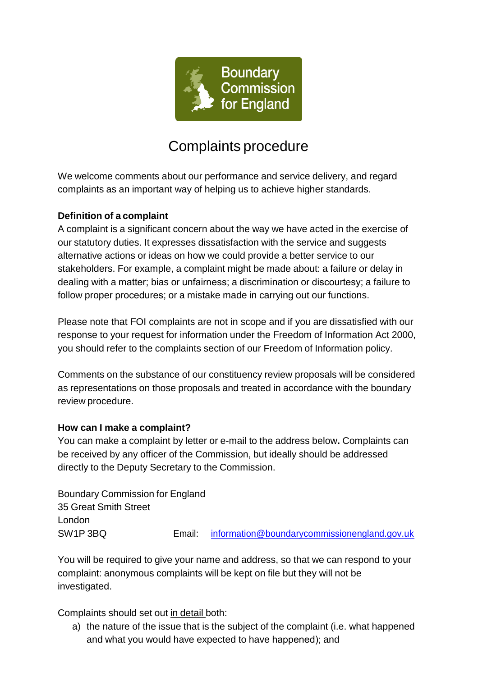

# Complaints procedure

We welcome comments about our performance and service delivery, and regard complaints as an important way of helping us to achieve higher standards.

# **Definition of a complaint**

A complaint is a significant concern about the way we have acted in the exercise of our statutory duties. It expresses dissatisfaction with the service and suggests alternative actions or ideas on how we could provide a better service to our stakeholders. For example, a complaint might be made about: a failure or delay in dealing with a matter; bias or unfairness; a discrimination or discourtesy; a failure to follow proper procedures; or a mistake made in carrying out our functions.

Please note that FOI complaints are not in scope and if you are dissatisfied with our response to your request for information under the Freedom of Information Act 2000, you should refer to the complaints section of our Freedom of Information policy.

Comments on the substance of our constituency review proposals will be considered as representations on those proposals and treated in accordance with the boundary review procedure.

### **How can I make a complaint?**

You can make a complaint by letter or e-mail to the address below**.** Complaints can be received by any officer of the Commission, but ideally should be addressed directly to the Deputy Secretary to the Commission.

Boundary Commission for England 35 Great Smith Street London SW1P 3BQ Email: [information@boundarycommissionengland.gov.uk](mailto:information@boundarycommissionengland.gov.uk)

You will be required to give your name and address, so that we can respond to your complaint: anonymous complaints will be kept on file but they will not be investigated.

Complaints should set out in detail both:

a) the nature of the issue that is the subject of the complaint (i.e. what happened and what you would have expected to have happened); and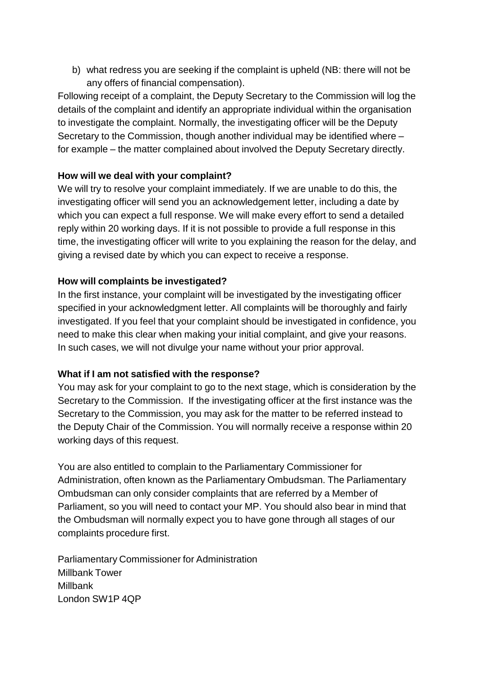b) what redress you are seeking if the complaint is upheld (NB: there will not be any offers of financial compensation).

Following receipt of a complaint, the Deputy Secretary to the Commission will log the details of the complaint and identify an appropriate individual within the organisation to investigate the complaint. Normally, the investigating officer will be the Deputy Secretary to the Commission, though another individual may be identified where – for example – the matter complained about involved the Deputy Secretary directly.

# **How will we deal with your complaint?**

We will try to resolve your complaint immediately. If we are unable to do this, the investigating officer will send you an acknowledgement letter, including a date by which you can expect a full response. We will make every effort to send a detailed reply within 20 working days. If it is not possible to provide a full response in this time, the investigating officer will write to you explaining the reason for the delay, and giving a revised date by which you can expect to receive a response.

# **How will complaints be investigated?**

In the first instance, your complaint will be investigated by the investigating officer specified in your acknowledgment letter. All complaints will be thoroughly and fairly investigated. If you feel that your complaint should be investigated in confidence, you need to make this clear when making your initial complaint, and give your reasons. In such cases, we will not divulge your name without your prior approval.

### **What if I am not satisfied with the response?**

You may ask for your complaint to go to the next stage, which is consideration by the Secretary to the Commission. If the investigating officer at the first instance was the Secretary to the Commission, you may ask for the matter to be referred instead to the Deputy Chair of the Commission. You will normally receive a response within 20 working days of this request.

You are also entitled to complain to the Parliamentary Commissioner for Administration, often known as the Parliamentary Ombudsman. The Parliamentary Ombudsman can only consider complaints that are referred by a Member of Parliament, so you will need to contact your MP. You should also bear in mind that the Ombudsman will normally expect you to have gone through all stages of our complaints procedure first.

Parliamentary Commissioner for Administration Millbank Tower Millbank London SW1P 4QP